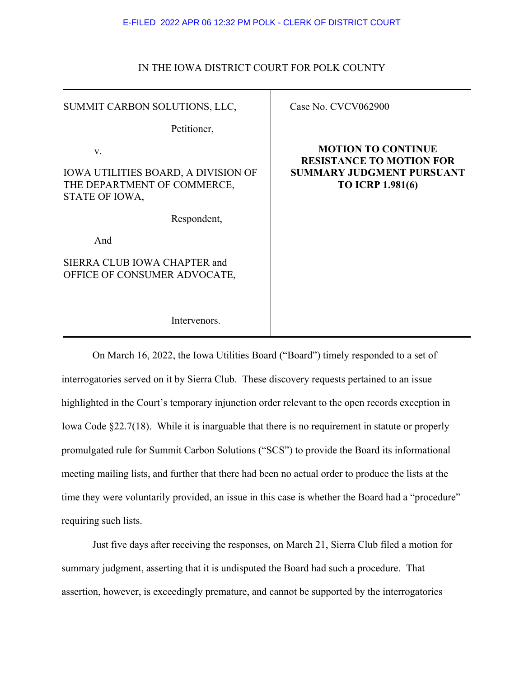### E-FILED 2022 APR 06 12:32 PM POLK - CLERK OF DISTRICT COURT

## IN THE IOWA DISTRICT COURT FOR POLK COUNTY

| SUMMIT CARBON SOLUTIONS, LLC,                                                                     | Case No. CVCV062900                                                                                                         |
|---------------------------------------------------------------------------------------------------|-----------------------------------------------------------------------------------------------------------------------------|
| Petitioner,                                                                                       |                                                                                                                             |
| V.<br><b>IOWA UTILITIES BOARD, A DIVISION OF</b><br>THE DEPARTMENT OF COMMERCE,<br>STATE OF IOWA, | <b>MOTION TO CONTINUE</b><br><b>RESISTANCE TO MOTION FOR</b><br><b>SUMMARY JUDGMENT PURSUANT</b><br><b>TO ICRP 1.981(6)</b> |
| Respondent,                                                                                       |                                                                                                                             |
| And                                                                                               |                                                                                                                             |
| SIERRA CLUB IOWA CHAPTER and<br>OFFICE OF CONSUMER ADVOCATE,                                      |                                                                                                                             |
| Intervenors.                                                                                      |                                                                                                                             |

On March 16, 2022, the Iowa Utilities Board ("Board") timely responded to a set of interrogatories served on it by Sierra Club. These discovery requests pertained to an issue highlighted in the Court's temporary injunction order relevant to the open records exception in Iowa Code §22.7(18). While it is inarguable that there is no requirement in statute or properly promulgated rule for Summit Carbon Solutions ("SCS") to provide the Board its informational meeting mailing lists, and further that there had been no actual order to produce the lists at the time they were voluntarily provided, an issue in this case is whether the Board had a "procedure" requiring such lists.

Just five days after receiving the responses, on March 21, Sierra Club filed a motion for summary judgment, asserting that it is undisputed the Board had such a procedure. That assertion, however, is exceedingly premature, and cannot be supported by the interrogatories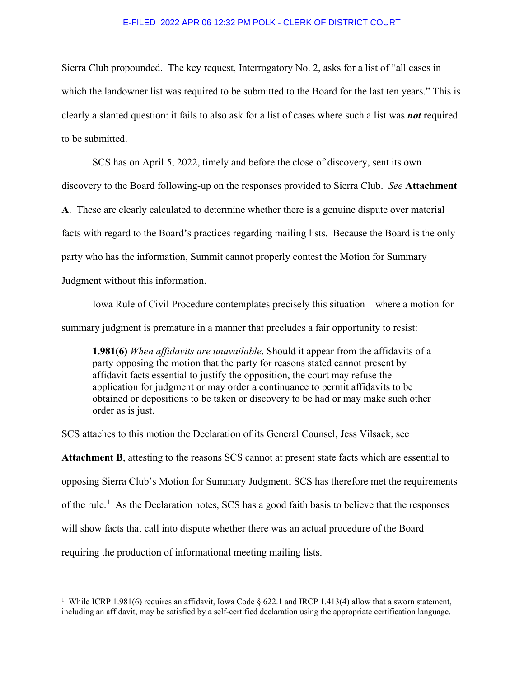#### E-FILED 2022 APR 06 12:32 PM POLK - CLERK OF DISTRICT COURT

Sierra Club propounded. The key request, Interrogatory No. 2, asks for a list of "all cases in which the landowner list was required to be submitted to the Board for the last ten years." This is clearly a slanted question: it fails to also ask for a list of cases where such a list was *not* required to be submitted.

SCS has on April 5, 2022, timely and before the close of discovery, sent its own discovery to the Board following-up on the responses provided to Sierra Club. *See* **Attachment A**. These are clearly calculated to determine whether there is a genuine dispute over material facts with regard to the Board's practices regarding mailing lists. Because the Board is the only party who has the information, Summit cannot properly contest the Motion for Summary Judgment without this information.

Iowa Rule of Civil Procedure contemplates precisely this situation – where a motion for summary judgment is premature in a manner that precludes a fair opportunity to resist:

**1.981(6)** *When affidavits are unavailable*. Should it appear from the affidavits of a party opposing the motion that the party for reasons stated cannot present by affidavit facts essential to justify the opposition, the court may refuse the application for judgment or may order a continuance to permit affidavits to be obtained or depositions to be taken or discovery to be had or may make such other order as is just.

SCS attaches to this motion the Declaration of its General Counsel, Jess Vilsack, see **Attachment B**, attesting to the reasons SCS cannot at present state facts which are essential to opposing Sierra Club's Motion for Summary Judgment; SCS has therefore met the requirements of the rule.<sup>[1](#page-1-0)</sup> As the Declaration notes, SCS has a good faith basis to believe that the responses will show facts that call into dispute whether there was an actual procedure of the Board requiring the production of informational meeting mailing lists.

<span id="page-1-0"></span> $\frac{1}{1}$ <sup>1</sup> While ICRP 1.981(6) requires an affidavit, Iowa Code § 622.1 and IRCP 1.413(4) allow that a sworn statement, including an affidavit, may be satisfied by a self-certified declaration using the appropriate certification language.